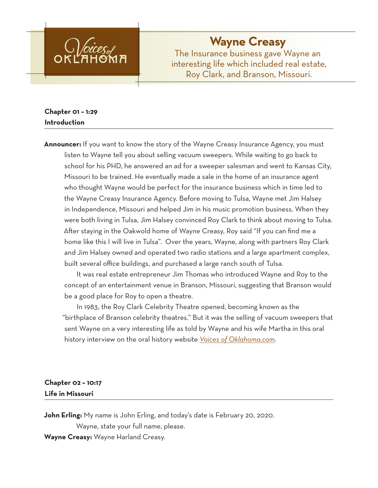

# **Wayne Creasy**

The Insurance business gave Wayne an interesting life which included real estate, Roy Clark, and Branson, Missouri.

# **Chapter 01 – 1:29 Introduction**

**Announcer:** If you want to know the story of the Wayne Creasy Insurance Agency, you must listen to Wayne tell you about selling vacuum sweepers. While waiting to go back to school for his PHD, he answered an ad for a sweeper salesman and went to Kansas City, Missouri to be trained. He eventually made a sale in the home of an insurance agent who thought Wayne would be perfect for the insurance business which in time led to the Wayne Creasy Insurance Agency. Before moving to Tulsa, Wayne met Jim Halsey in Independence, Missouri and helped Jim in his music promotion business. When they were both living in Tulsa, Jim Halsey convinced Roy Clark to think about moving to Tulsa. After staying in the Oakwold home of Wayne Creasy, Roy said "If you can find me a home like this I will live in Tulsa". Over the years, Wayne, along with partners Roy Clark and Jim Halsey owned and operated two radio stations and a large apartment complex, built several office buildings, and purchased a large ranch south of Tulsa.

It was real estate entrepreneur Jim Thomas who introduced Wayne and Roy to the concept of an entertainment venue in Branson, Missouri, suggesting that Branson would be a good place for Roy to open a theatre.

In 1983, the Roy Clark Celebrity Theatre opened, becoming known as the "birthplace of Branson celebrity theatres." But it was the selling of vacuum sweepers that sent Wayne on a very interesting life as told by Wayne and his wife Martha in this oral history interview on the oral history website *Voices of Oklahoma.com*.

# **Chapter 02 – 10:17 Life in Missouri**

**John Erling:** My name is John Erling, and today's date is February 20, 2020.

Wayne, state your full name, please.

**Wayne Creasy:** Wayne Harland Creasy.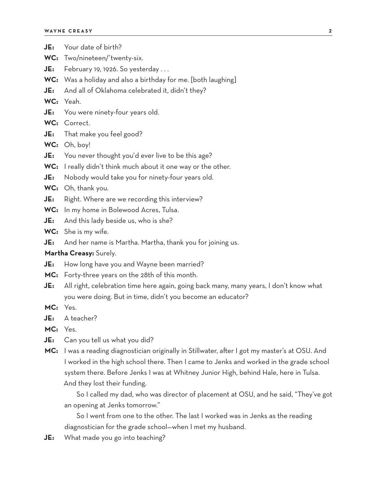| JE:                    | Your date of birth?                                                                         |
|------------------------|---------------------------------------------------------------------------------------------|
| WC:                    | Two/nineteen/'twenty-six.                                                                   |
| JE:                    | February 19, 1926. So yesterday                                                             |
|                        | WC: Was a holiday and also a birthday for me. [both laughing]                               |
| JE:                    | And all of Oklahoma celebrated it, didn't they?                                             |
|                        | WC: Yeah.                                                                                   |
| JE:                    | You were ninety-four years old.                                                             |
|                        | WC: Correct.                                                                                |
| JE:                    | That make you feel good?                                                                    |
|                        | WC: Oh, boy!                                                                                |
| JE:                    | You never thought you'd ever live to be this age?                                           |
|                        | WC: I really didn't think much about it one way or the other.                               |
| JE:                    | Nobody would take you for ninety-four years old.                                            |
|                        | WC: Oh, thank you.                                                                          |
| JE:                    | Right. Where are we recording this interview?                                               |
|                        | WC: In my home in Bolewood Acres, Tulsa.                                                    |
| JE:                    | And this lady beside us, who is she?                                                        |
|                        | WC: She is my wife.                                                                         |
| JE:                    | And her name is Martha. Martha, thank you for joining us.                                   |
| Martha Creasy: Surely. |                                                                                             |
| JE:                    | How long have you and Wayne been married?                                                   |
|                        | MC: Forty-three years on the 28th of this month.                                            |
| JE:                    | All right, celebration time here again, going back many, many years, I don't know what      |
|                        | you were doing. But in time, didn't you become an educator?                                 |
| MC: Yes.               |                                                                                             |
| JE:                    | A teacher?                                                                                  |
| MC:                    | Yes.                                                                                        |
| JE:                    | Can you tell us what you did?                                                               |
| MC:                    | I was a reading diagnostician originally in Stillwater, after I got my master's at OSU. And |
|                        | I worked in the high school there. Then I came to Jenks and worked in the grade school      |
|                        | system there. Before Jenks I was at Whitney Junior High, behind Hale, here in Tulsa.        |
|                        | And they lost their funding.                                                                |
|                        | So I called my dad, who was director of placement at OSU, and he said, "They've got         |

an opening at Jenks tomorrow."

So I went from one to the other. The last I worked was in Jenks as the reading diagnostician for the grade school—when I met my husband.

**JE:** What made you go into teaching?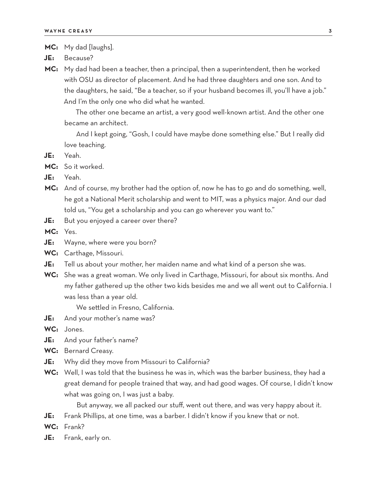**MC:** My dad [laughs].

- **JE:** Because?
- **MC:** My dad had been a teacher, then a principal, then a superintendent, then he worked with OSU as director of placement. And he had three daughters and one son. And to the daughters, he said, "Be a teacher, so if your husband becomes ill, you'll have a job." And I'm the only one who did what he wanted.

The other one became an artist, a very good well-known artist. And the other one became an architect.

And I kept going, "Gosh, I could have maybe done something else." But I really did love teaching.

- **JE:** Yeah.
- **MC:** So it worked.

**JE:** Yeah.

- **MC:** And of course, my brother had the option of, now he has to go and do something, well, he got a National Merit scholarship and went to MIT, was a physics major. And our dad told us, "You get a scholarship and you can go wherever you want to."
- **JE:** But you enjoyed a career over there?

**MC:** Yes.

- **JE:** Wayne, where were you born?
- **WC:** Carthage, Missouri.
- **JE:** Tell us about your mother, her maiden name and what kind of a person she was.
- **WC:** She was a great woman. We only lived in Carthage, Missouri, for about six months. And my father gathered up the other two kids besides me and we all went out to California. I was less than a year old.

We settled in Fresno, California.

- **JE:** And your mother's name was?
- **WC:** Jones.
- **JE:** And your father's name?
- **WC:** Bernard Creasy.
- **JE:** Why did they move from Missouri to California?
- **WC:** Well, I was told that the business he was in, which was the barber business, they had a great demand for people trained that way, and had good wages. Of course, I didn't know what was going on, I was just a baby.

But anyway, we all packed our stuff, went out there, and was very happy about it.

- **JE:** Frank Phillips, at one time, was a barber. I didn't know if you knew that or not.
- **WC:** Frank?
- **JE:** Frank, early on.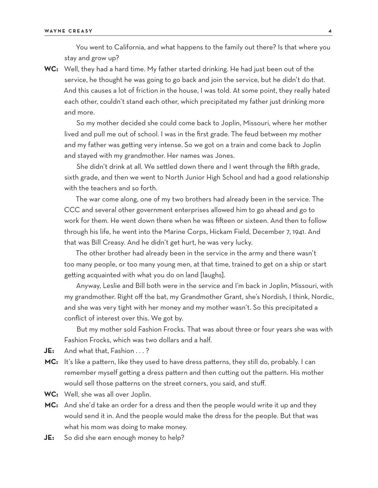You went to California, and what happens to the family out there? Is that where you stay and grow up?

**WC:** Well, they had a hard time. My father started drinking. He had just been out of the service, he thought he was going to go back and join the service, but he didn't do that. And this causes a lot of friction in the house, I was told. At some point, they really hated each other, couldn't stand each other, which precipitated my father just drinking more and more.

So my mother decided she could come back to Joplin, Missouri, where her mother lived and pull me out of school. I was in the first grade. The feud between my mother and my father was getting very intense. So we got on a train and come back to Joplin and stayed with my grandmother. Her names was Jones.

She didn't drink at all. We settled down there and I went through the fifth grade, sixth grade, and then we went to North Junior High School and had a good relationship with the teachers and so forth.

The war come along, one of my two brothers had already been in the service. The CCC and several other government enterprises allowed him to go ahead and go to work for them. He went down there when he was fifteen or sixteen. And then to follow through his life, he went into the Marine Corps, Hickam Field, December 7, 1941. And that was Bill Creasy. And he didn't get hurt, he was very lucky.

The other brother had already been in the service in the army and there wasn't too many people, or too many young men, at that time, trained to get on a ship or start getting acquainted with what you do on land [laughs].

Anyway, Leslie and Bill both were in the service and I'm back in Joplin, Missouri, with my grandmother. Right off the bat, my Grandmother Grant, she's Nordish, I think, Nordic, and she was very tight with her money and my mother wasn't. So this precipitated a conflict of interest over this. We got by.

But my mother sold Fashion Frocks. That was about three or four years she was with Fashion Frocks, which was two dollars and a half.

- **JE:** And what that, Fashion . . . ?
- **MC:** It's like a pattern, like they used to have dress patterns, they still do, probably. I can remember myself getting a dress pattern and then cutting out the pattern. His mother would sell those patterns on the street corners, you said, and stuff.
- **WC:** Well, she was all over Joplin.
- **MC:** And she'd take an order for a dress and then the people would write it up and they would send it in. And the people would make the dress for the people. But that was what his mom was doing to make money.
- **JE:** So did she earn enough money to help?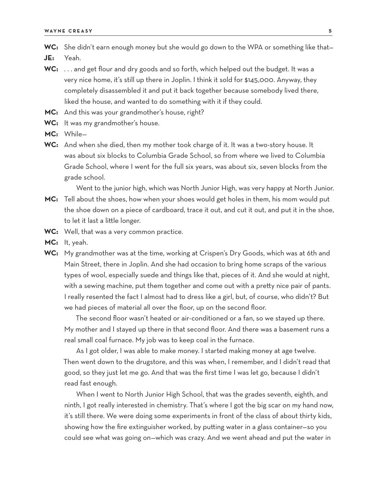- WC: She didn't earn enough money but she would go down to the WPA or something like that-
- **JE:** Yeah.
- **WC:** . . . and get flour and dry goods and so forth, which helped out the budget. It was a very nice home, it's still up there in Joplin. I think it sold for \$145,000. Anyway, they completely disassembled it and put it back together because somebody lived there, liked the house, and wanted to do something with it if they could.
- **MC:** And this was your grandmother's house, right?
- **WC:** It was my grandmother's house.
- **MC:** While—
- **WC:** And when she died, then my mother took charge of it. It was a two-story house. It was about six blocks to Columbia Grade School, so from where we lived to Columbia Grade School, where I went for the full six years, was about six, seven blocks from the grade school.

Went to the junior high, which was North Junior High, was very happy at North Junior.

- **MC:** Tell about the shoes, how when your shoes would get holes in them, his mom would put the shoe down on a piece of cardboard, trace it out, and cut it out, and put it in the shoe, to let it last a little longer.
- **WC:** Well, that was a very common practice.
- **MC:** It, yeah.
- **WC:** My grandmother was at the time, working at Crispen's Dry Goods, which was at 6th and Main Street, there in Joplin. And she had occasion to bring home scraps of the various types of wool, especially suede and things like that, pieces of it. And she would at night, with a sewing machine, put them together and come out with a pretty nice pair of pants. I really resented the fact I almost had to dress like a girl, but, of course, who didn't? But we had pieces of material all over the floor, up on the second floor.

The second floor wasn't heated or air-conditioned or a fan, so we stayed up there. My mother and I stayed up there in that second floor. And there was a basement runs a real small coal furnace. My job was to keep coal in the furnace.

As I got older, I was able to make money. I started making money at age twelve. Then went down to the drugstore, and this was when, I remember, and I didn't read that good, so they just let me go. And that was the first time I was let go, because I didn't read fast enough.

When I went to North Junior High School, that was the grades seventh, eighth, and ninth, I got really interested in chemistry. That's where I got the big scar on my hand now, it's still there. We were doing some experiments in front of the class of about thirty kids, showing how the fire extinguisher worked, by putting water in a glass container—so you could see what was going on—which was crazy. And we went ahead and put the water in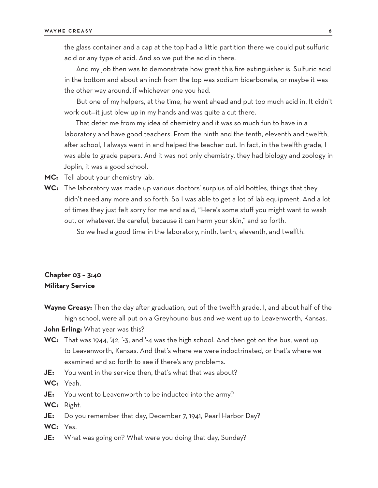the glass container and a cap at the top had a little partition there we could put sulfuric acid or any type of acid. And so we put the acid in there.

And my job then was to demonstrate how great this fire extinguisher is. Sulfuric acid in the bottom and about an inch from the top was sodium bicarbonate, or maybe it was the other way around, if whichever one you had.

But one of my helpers, at the time, he went ahead and put too much acid in. It didn't work out—it just blew up in my hands and was quite a cut there.

That defer me from my idea of chemistry and it was so much fun to have in a laboratory and have good teachers. From the ninth and the tenth, eleventh and twelfth, after school, I always went in and helped the teacher out. In fact, in the twelfth grade, I was able to grade papers. And it was not only chemistry, they had biology and zoology in Joplin, it was a good school.

**MC:** Tell about your chemistry lab.

**WC:** The laboratory was made up various doctors' surplus of old bottles, things that they didn't need any more and so forth. So I was able to get a lot of lab equipment. And a lot of times they just felt sorry for me and said, "Here's some stuff you might want to wash out, or whatever. Be careful, because it can harm your skin," and so forth.

So we had a good time in the laboratory, ninth, tenth, eleventh, and twelfth.

#### **Chapter 03 – 3:40 Military Service**

**Wayne Creasy:** Then the day after graduation, out of the twelfth grade, I, and about half of the high school, were all put on a Greyhound bus and we went up to Leavenworth, Kansas. **John Erling:** What year was this?

- **WC:** That was 1944, '42, '-3, and '-4 was the high school. And then got on the bus, went up to Leavenworth, Kansas. And that's where we were indoctrinated, or that's where we examined and so forth to see if there's any problems.
- **JE:** You went in the service then, that's what that was about?

**WC:** Yeah.

- **JE:** You went to Leavenworth to be inducted into the army?
- **WC:** Right.
- **JE:** Do you remember that day, December 7, 1941, Pearl Harbor Day?
- **WC:** Yes.
- **JE:** What was going on? What were you doing that day, Sunday?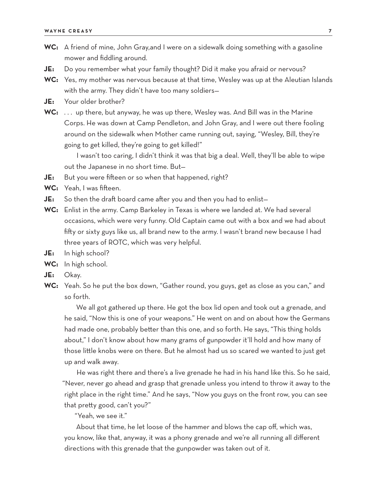- **WC:** A friend of mine, John Gray,and I were on a sidewalk doing something with a gasoline mower and fiddling around.
- **JE:** Do you remember what your family thought? Did it make you afraid or nervous?
- **WC:** Yes, my mother was nervous because at that time, Wesley was up at the Aleutian Islands with the army. They didn't have too many soldiers—
- **JE:** Your older brother?
- **WC:** . . . up there, but anyway, he was up there, Wesley was. And Bill was in the Marine Corps. He was down at Camp Pendleton, and John Gray, and I were out there fooling around on the sidewalk when Mother came running out, saying, "Wesley, Bill, they're going to get killed, they're going to get killed!"

I wasn't too caring, I didn't think it was that big a deal. Well, they'll be able to wipe out the Japanese in no short time. But—

- **JE:** But you were fifteen or so when that happened, right?
- **WC:** Yeah, I was fifteen.
- **JE:** So then the draft board came after you and then you had to enlist—
- **WC:** Enlist in the army. Camp Barkeley in Texas is where we landed at. We had several occasions, which were very funny. Old Captain came out with a box and we had about fifty or sixty guys like us, all brand new to the army. I wasn't brand new because I had three years of ROTC, which was very helpful.
- **JE:** In high school?
- **WC:** In high school.
- **JE:** Okay.
- **WC:** Yeah. So he put the box down, "Gather round, you guys, get as close as you can," and so forth.

We all got gathered up there. He got the box lid open and took out a grenade, and he said, "Now this is one of your weapons." He went on and on about how the Germans had made one, probably better than this one, and so forth. He says, "This thing holds about," I don't know about how many grams of gunpowder it'll hold and how many of those little knobs were on there. But he almost had us so scared we wanted to just get up and walk away.

He was right there and there's a live grenade he had in his hand like this. So he said, "Never, never go ahead and grasp that grenade unless you intend to throw it away to the right place in the right time." And he says, "Now you guys on the front row, you can see that pretty good, can't you?"

"Yeah, we see it."

About that time, he let loose of the hammer and blows the cap off, which was, you know, like that, anyway, it was a phony grenade and we're all running all different directions with this grenade that the gunpowder was taken out of it.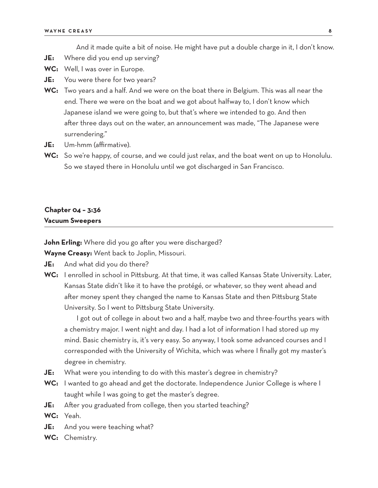And it made quite a bit of noise. He might have put a double charge in it, I don't know.

- **JE:** Where did you end up serving?
- **WC:** Well, I was over in Europe.
- **JE:** You were there for two years?
- **WC:** Two years and a half. And we were on the boat there in Belgium. This was all near the end. There we were on the boat and we got about halfway to, I don't know which Japanese island we were going to, but that's where we intended to go. And then after three days out on the water, an announcement was made, "The Japanese were surrendering."
- **JE:** Um-hmm (affirmative).
- **WC:** So we're happy, of course, and we could just relax, and the boat went on up to Honolulu. So we stayed there in Honolulu until we got discharged in San Francisco.

#### **Chapter 04 – 3:36 Vacuum Sweepers**

**John Erling:** Where did you go after you were discharged?

**Wayne Creasy:** Went back to Joplin, Missouri.

- **JE:** And what did you do there?
- WC: I enrolled in school in Pittsburg. At that time, it was called Kansas State University. Later, Kansas State didn't like it to have the protégé, or whatever, so they went ahead and after money spent they changed the name to Kansas State and then Pittsburg State University. So I went to Pittsburg State University.

I got out of college in about two and a half, maybe two and three-fourths years with a chemistry major. I went night and day. I had a lot of information I had stored up my mind. Basic chemistry is, it's very easy. So anyway, I took some advanced courses and I corresponded with the University of Wichita, which was where I finally got my master's degree in chemistry.

- **JE:** What were you intending to do with this master's degree in chemistry?
- **WC:** I wanted to go ahead and get the doctorate. Independence Junior College is where I taught while I was going to get the master's degree.
- **JE:** After you graduated from college, then you started teaching?
- **WC:** Yeah.
- **JE:** And you were teaching what?
- **WC:** Chemistry.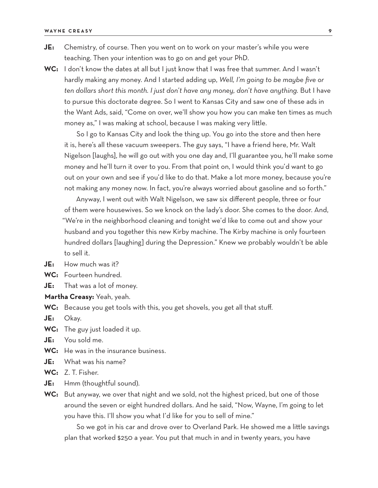- **JE:** Chemistry, of course. Then you went on to work on your master's while you were teaching. Then your intention was to go on and get your PhD.
- **WC:** I don't know the dates at all but I just know that I was free that summer. And I wasn't hardly making any money. And I started adding up, *Well, I'm going to be maybe five or ten dollars short this month. I just don't have any money, don't have anything.* But I have to pursue this doctorate degree. So I went to Kansas City and saw one of these ads in the Want Ads, said, "Come on over, we'll show you how you can make ten times as much money as," I was making at school, because I was making very little.

So I go to Kansas City and look the thing up. You go into the store and then here it is, here's all these vacuum sweepers. The guy says, "I have a friend here, Mr. Walt Nigelson [laughs], he will go out with you one day and, I'll guarantee you, he'll make some money and he'll turn it over to you. From that point on, I would think you'd want to go out on your own and see if you'd like to do that. Make a lot more money, because you're not making any money now. In fact, you're always worried about gasoline and so forth."

Anyway, I went out with Walt Nigelson, we saw six different people, three or four of them were housewives. So we knock on the lady's door. She comes to the door. And, "We're in the neighborhood cleaning and tonight we'd like to come out and show your husband and you together this new Kirby machine. The Kirby machine is only fourteen hundred dollars [laughing] during the Depression." Knew we probably wouldn't be able to sell it.

**JE:** How much was it?

- **WC:** Fourteen hundred.
- **JE:** That was a lot of money.

**Martha Creasy:** Yeah, yeah.

- **WC:** Because you get tools with this, you get shovels, you get all that stuff.
- **JE:** Okay.
- **WC:** The guy just loaded it up.
- **JE:** You sold me.
- **WC:** He was in the insurance business.
- **JE:** What was his name?
- **WC:** Z. T. Fisher.
- **JE:** Hmm (thoughtful sound).
- **WC:** But anyway, we over that night and we sold, not the highest priced, but one of those around the seven or eight hundred dollars. And he said, "Now, Wayne, I'm going to let you have this. I'll show you what I'd like for you to sell of mine."

So we got in his car and drove over to Overland Park. He showed me a little savings plan that worked \$250 a year. You put that much in and in twenty years, you have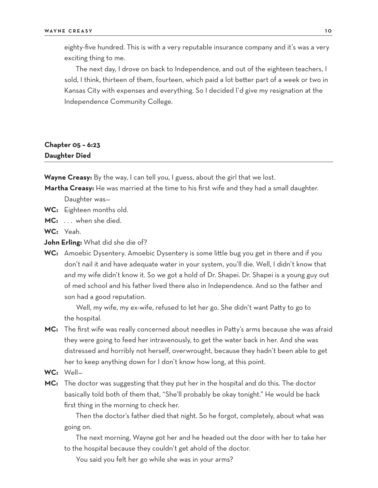eighty-five hundred. This is with a very reputable insurance company and it's was a very exciting thing to me.

The next day, I drove on back to Independence, and out of the eighteen teachers, I sold, I think, thirteen of them, fourteen, which paid a lot better part of a week or two in Kansas City with expenses and everything. So I decided I'd give my resignation at the Independence Community College.

# **Chapter 05 – 6:23 Daughter Died**

**Wayne Creasy:** By the way, I can tell you, I guess, about the girl that we lost.

**Martha Creasy:** He was married at the time to his first wife and they had a small daughter.

Daughter was—

- **WC:** Eighteen months old.
- MC: ... when she died.

**WC:** Yeah.

- **John Erling:** What did she die of?
- **WC:** Amoebic Dysentery. Amoebic Dysentery is some little bug you get in there and if you don't nail it and have adequate water in your system, you'll die. Well, I didn't know that and my wife didn't know it. So we got a hold of Dr. Shapei. Dr. Shapei is a young guy out of med school and his father lived there also in Independence. And so the father and son had a good reputation.

Well, my wife, my ex-wife, refused to let her go. She didn't want Patty to go to the hospital.

- **MC:** The first wife was really concerned about needles in Patty's arms because she was afraid they were going to feed her intravenously, to get the water back in her. And she was distressed and horribly not herself, overwrought, because they hadn't been able to get her to keep anything down for I don't know how long, at this point.
- **WC:** Well—
- **MC:** The doctor was suggesting that they put her in the hospital and do this. The doctor basically told both of them that, "She'll probably be okay tonight." He would be back first thing in the morning to check her.

Then the doctor's father died that night. So he forgot, completely, about what was going on.

The next morning, Wayne got her and he headed out the door with her to take her to the hospital because they couldn't get ahold of the doctor.

You said you felt her go while she was in your arms?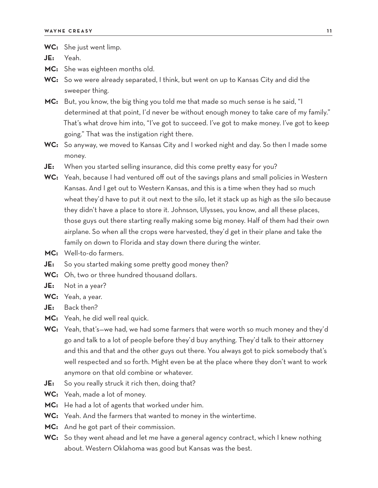**WC:** She just went limp.

**JE:** Yeah.

**MC:** She was eighteen months old.

**WC:** So we were already separated, I think, but went on up to Kansas City and did the sweeper thing.

**MC:** But, you know, the big thing you told me that made so much sense is he said, "I determined at that point, I'd never be without enough money to take care of my family." That's what drove him into, "I've got to succeed. I've got to make money. I've got to keep going." That was the instigation right there.

**WC:** So anyway, we moved to Kansas City and I worked night and day. So then I made some money.

**JE:** When you started selling insurance, did this come pretty easy for you?

- **WC:** Yeah, because I had ventured off out of the savings plans and small policies in Western Kansas. And I get out to Western Kansas, and this is a time when they had so much wheat they'd have to put it out next to the silo, let it stack up as high as the silo because they didn't have a place to store it. Johnson, Ulysses, you know, and all these places, those guys out there starting really making some big money. Half of them had their own airplane. So when all the crops were harvested, they'd get in their plane and take the family on down to Florida and stay down there during the winter.
- **MC:** Well-to-do farmers.
- **JE:** So you started making some pretty good money then?
- **WC:** Oh, two or three hundred thousand dollars.
- **JE:** Not in a year?
- **WC:** Yeah, a year.
- **JE:** Back then?
- **MC:** Yeah, he did well real quick.
- **WC:** Yeah, that's—we had, we had some farmers that were worth so much money and they'd go and talk to a lot of people before they'd buy anything. They'd talk to their attorney and this and that and the other guys out there. You always got to pick somebody that's well respected and so forth. Might even be at the place where they don't want to work anymore on that old combine or whatever.
- **JE:** So you really struck it rich then, doing that?
- **WC:** Yeah, made a lot of money.
- **MC:** He had a lot of agents that worked under him.
- **WC:** Yeah. And the farmers that wanted to money in the wintertime.
- **MC:** And he got part of their commission.
- **WC:** So they went ahead and let me have a general agency contract, which I knew nothing about. Western Oklahoma was good but Kansas was the best.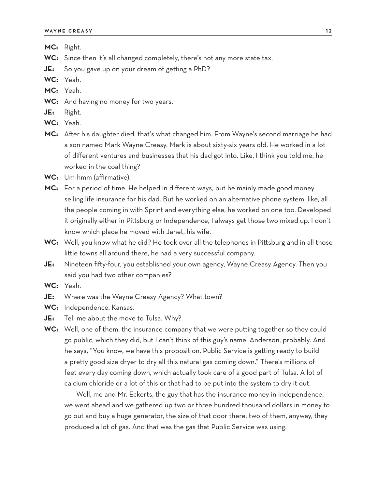- **MC:** Right.
- **WC:** Since then it's all changed completely, there's not any more state tax.
- **JE:** So you gave up on your dream of getting a PhD?
- **WC:** Yeah.
- **MC:** Yeah.
- **WC:** And having no money for two years.
- **JE:** Right.
- **WC:** Yeah.
- **MC:** After his daughter died, that's what changed him. From Wayne's second marriage he had a son named Mark Wayne Creasy. Mark is about sixty-six years old. He worked in a lot of different ventures and businesses that his dad got into. Like, I think you told me, he worked in the coal thing?
- **WC:** Um-hmm (affirmative).
- **MC:** For a period of time. He helped in different ways, but he mainly made good money selling life insurance for his dad. But he worked on an alternative phone system, like, all the people coming in with Sprint and everything else, he worked on one too. Developed it originally either in Pittsburg or Independence, I always get those two mixed up. I don't know which place he moved with Janet, his wife.
- **WC:** Well, you know what he did? He took over all the telephones in Pittsburg and in all those little towns all around there, he had a very successful company.
- **JE:** Nineteen fifty-four, you established your own agency, Wayne Creasy Agency. Then you said you had two other companies?
- **WC:** Yeah.
- **JE:** Where was the Wayne Creasy Agency? What town?
- **WC:** Independence, Kansas.
- **JE:** Tell me about the move to Tulsa. Why?
- **WC:** Well, one of them, the insurance company that we were putting together so they could go public, which they did, but I can't think of this guy's name, Anderson, probably. And he says, "You know, we have this proposition. Public Service is getting ready to build a pretty good size dryer to dry all this natural gas coming down." There's millions of feet every day coming down, which actually took care of a good part of Tulsa. A lot of calcium chloride or a lot of this or that had to be put into the system to dry it out.

Well, me and Mr. Eckerts, the guy that has the insurance money in Independence, we went ahead and we gathered up two or three hundred thousand dollars in money to go out and buy a huge generator, the size of that door there, two of them, anyway, they produced a lot of gas. And that was the gas that Public Service was using.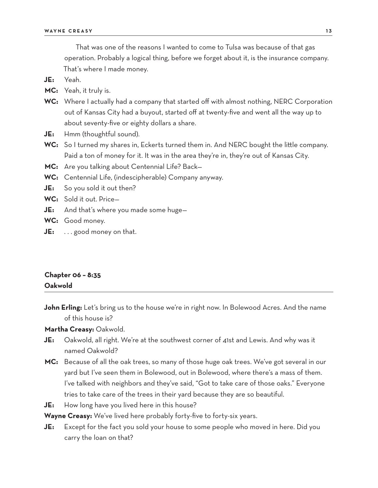That was one of the reasons I wanted to come to Tulsa was because of that gas operation. Probably a logical thing, before we forget about it, is the insurance company. That's where I made money.

**JE:** Yeah.

**MC:** Yeah, it truly is.

- **WC:** Where I actually had a company that started off with almost nothing, NERC Corporation out of Kansas City had a buyout, started off at twenty-five and went all the way up to about seventy-five or eighty dollars a share.
- **JE:** Hmm (thoughtful sound).
- **WC:** So I turned my shares in, Eckerts turned them in. And NERC bought the little company. Paid a ton of money for it. It was in the area they're in, they're out of Kansas City.
- **MC:** Are you talking about Centennial Life? Back—
- **WC:** Centennial Life, (indescipherable) Company anyway.
- **JE:** So you sold it out then?
- **WC:** Sold it out. Price—
- **JE:** And that's where you made some huge—
- **WC:** Good money.
- **JE:** . . . good money on that.

## **Chapter 06 – 8:35 Oakwold**

**John Erling:** Let's bring us to the house we're in right now. In Bolewood Acres. And the name of this house is?

**Martha Creasy:** Oakwold.

- **JE:** Oakwold, all right. We're at the southwest corner of 41st and Lewis. And why was it named Oakwold?
- **MC:** Because of all the oak trees, so many of those huge oak trees. We've got several in our yard but I've seen them in Bolewood, out in Bolewood, where there's a mass of them. I've talked with neighbors and they've said, "Got to take care of those oaks." Everyone tries to take care of the trees in their yard because they are so beautiful.
- **JE:** How long have you lived here in this house?

**Wayne Creasy:** We've lived here probably forty-five to forty-six years.

**JE:** Except for the fact you sold your house to some people who moved in here. Did you carry the loan on that?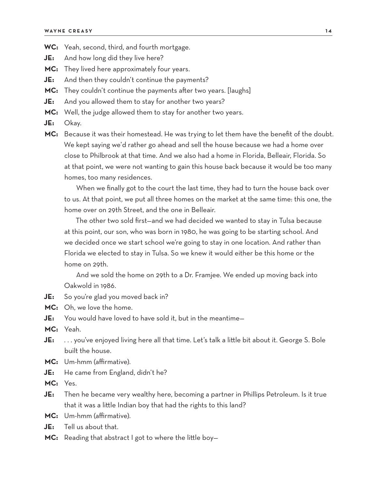- **WC:** Yeah, second, third, and fourth mortgage.
- **JE:** And how long did they live here?
- **MC:** They lived here approximately four years.
- **JE:** And then they couldn't continue the payments?
- **MC:** They couldn't continue the payments after two years. [laughs]
- **JE:** And you allowed them to stay for another two years?
- **MC:** Well, the judge allowed them to stay for another two years.
- **JE:** Okay.
- **MC:** Because it was their homestead. He was trying to let them have the benefit of the doubt. We kept saying we'd rather go ahead and sell the house because we had a home over close to Philbrook at that time. And we also had a home in Florida, Belleair, Florida. So at that point, we were not wanting to gain this house back because it would be too many homes, too many residences.

When we finally got to the court the last time, they had to turn the house back over to us. At that point, we put all three homes on the market at the same time: this one, the home over on 29th Street, and the one in Belleair.

The other two sold first—and we had decided we wanted to stay in Tulsa because at this point, our son, who was born in 1980, he was going to be starting school. And we decided once we start school we're going to stay in one location. And rather than Florida we elected to stay in Tulsa. So we knew it would either be this home or the home on 29th.

And we sold the home on 29th to a Dr. Framjee. We ended up moving back into Oakwold in 1986.

- **JE:** So you're glad you moved back in?
- **MC:** Oh, we love the home.
- **JE:** You would have loved to have sold it, but in the meantime—

**MC:** Yeah.

- **JE:** . . . you've enjoyed living here all that time. Let's talk a little bit about it. George S. Bole built the house.
- **MC:** Um-hmm (affirmative).
- **JE:** He came from England, didn't he?
- **MC:** Yes.
- **JE:** Then he became very wealthy here, becoming a partner in Phillips Petroleum. Is it true that it was a little Indian boy that had the rights to this land?
- **MC:** Um-hmm (affirmative).
- **JE:** Tell us about that.
- **MC:** Reading that abstract I got to where the little boy—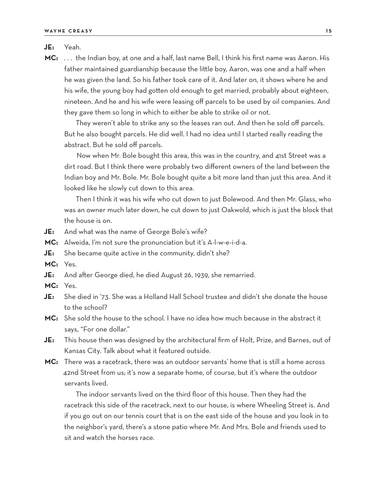#### **JE:** Yeah.

**MC:** . . . the Indian boy, at one and a half, last name Bell, I think his first name was Aaron. His father maintained guardianship because the little boy, Aaron, was one and a half when he was given the land. So his father took care of it. And later on, it shows where he and his wife, the young boy had gotten old enough to get married, probably about eighteen, nineteen. And he and his wife were leasing off parcels to be used by oil companies. And they gave them so long in which to either be able to strike oil or not.

They weren't able to strike any so the leases ran out. And then he sold off parcels. But he also bought parcels. He did well. I had no idea until I started really reading the abstract. But he sold off parcels.

Now when Mr. Bole bought this area, this was in the country, and 41st Street was a dirt road. But I think there were probably two different owners of the land between the Indian boy and Mr. Bole. Mr. Bole bought quite a bit more land than just this area. And it looked like he slowly cut down to this area.

Then I think it was his wife who cut down to just Bolewood. And then Mr. Glass, who was an owner much later down, he cut down to just Oakwold, which is just the block that the house is on.

- **JE:** And what was the name of George Bole's wife?
- **MC:** Alweida, I'm not sure the pronunciation but it's A-l-w-e-i-d-a.
- **JE:** She became quite active in the community, didn't she?
- **MC:** Yes.
- **JE:** And after George died, he died August 26, 1939, she remarried.
- **MC:** Yes.
- **JE:** She died in '73. She was a Holland Hall School trustee and didn't she donate the house to the school?
- **MC:** She sold the house to the school. I have no idea how much because in the abstract it says, "For one dollar."
- **JE:** This house then was designed by the architectural firm of Holt, Prize, and Barnes, out of Kansas City. Talk about what it featured outside.
- **MC:** There was a racetrack, there was an outdoor servants' home that is still a home across 42nd Street from us; it's now a separate home, of course, but it's where the outdoor servants lived.

The indoor servants lived on the third floor of this house. Then they had the racetrack this side of the racetrack, next to our house, is where Wheeling Street is. And if you go out on our tennis court that is on the east side of the house and you look in to the neighbor's yard, there's a stone patio where Mr. And Mrs. Bole and friends used to sit and watch the horses race.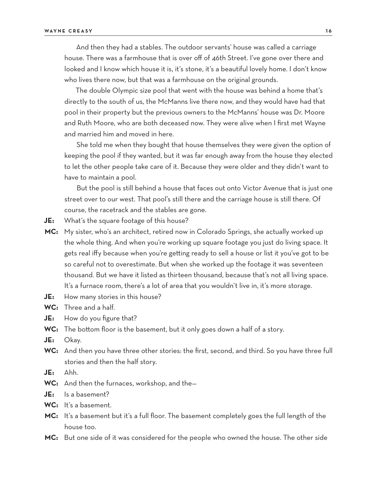And then they had a stables. The outdoor servants' house was called a carriage house. There was a farmhouse that is over off of 46th Street. I've gone over there and looked and I know which house it is, it's stone, it's a beautiful lovely home. I don't know who lives there now, but that was a farmhouse on the original grounds.

The double Olympic size pool that went with the house was behind a home that's directly to the south of us, the McManns live there now, and they would have had that pool in their property but the previous owners to the McManns' house was Dr. Moore and Ruth Moore, who are both deceased now. They were alive when I first met Wayne and married him and moved in here.

She told me when they bought that house themselves they were given the option of keeping the pool if they wanted, but it was far enough away from the house they elected to let the other people take care of it. Because they were older and they didn't want to have to maintain a pool.

But the pool is still behind a house that faces out onto Victor Avenue that is just one street over to our west. That pool's still there and the carriage house is still there. Of course, the racetrack and the stables are gone.

- **JE:** What's the square footage of this house?
- **MC:** My sister, who's an architect, retired now in Colorado Springs, she actually worked up the whole thing. And when you're working up square footage you just do living space. It gets real iffy because when you're getting ready to sell a house or list it you've got to be so careful not to overestimate. But when she worked up the footage it was seventeen thousand. But we have it listed as thirteen thousand, because that's not all living space. It's a furnace room, there's a lot of area that you wouldn't live in, it's more storage.
- **JE:** How many stories in this house?
- **WC:** Three and a half.
- **JE:** How do you figure that?
- **WC:** The bottom floor is the basement, but it only goes down a half of a story.
- **JE:** Okay.
- **WC:** And then you have three other stories: the first, second, and third. So you have three full stories and then the half story.
- **JE:** Ahh.
- **WC:** And then the furnaces, workshop, and the—
- **JE:** Is a basement?
- **WC:** It's a basement.
- **MC:** It's a basement but it's a full floor. The basement completely goes the full length of the house too.
- **MC:** But one side of it was considered for the people who owned the house. The other side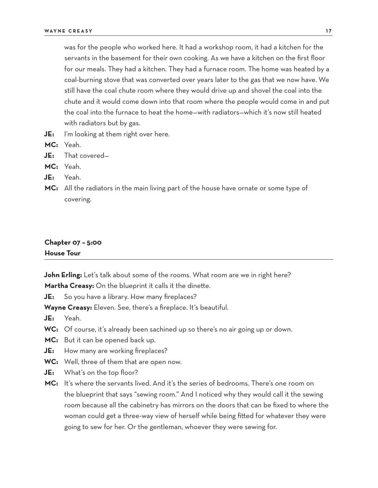was for the people who worked here. It had a workshop room, it had a kitchen for the servants in the basement for their own cooking. As we have a kitchen on the first floor for our meals. They had a kitchen. They had a furnace room. The home was heated by a coal-burning stove that was converted over years later to the gas that we now have. We still have the coal chute room where they would drive up and shovel the coal into the chute and it would come down into that room where the people would come in and put the coal into the furnace to heat the home—with radiators—which it's now still heated with radiators but by gas.

**JE:** I'm looking at them right over here.

**MC:** Yeah.

**JE:** That covered—

**MC:** Yeah.

**JE:** Yeah.

MC: All the radiators in the main living part of the house have ornate or some type of covering.

#### **Chapter 07 – 5:00 House Tour**

**John Erling:** Let's talk about some of the rooms. What room are we in right here?

**Martha Creasy:** On the blueprint it calls it the dinette.

**JE:** So you have a library. How many fireplaces?

**Wayne Creasy:** Eleven. See, there's a fireplace. It's beautiful.

**JE:** Yeah.

- WC: Of course, it's already been sachined up so there's no air going up or down.
- **MC:** But it can be opened back up.
- **JE:** How many are working fireplaces?
- **WC:** Well, three of them that are open now.
- **JE:** What's on the top floor?
- **MC:** It's where the servants lived. And it's the series of bedrooms. There's one room on the blueprint that says "sewing room." And I noticed why they would call it the sewing room because all the cabinetry has mirrors on the doors that can be fixed to where the woman could get a three-way view of herself while being fitted for whatever they were going to sew for her. Or the gentleman, whoever they were sewing for.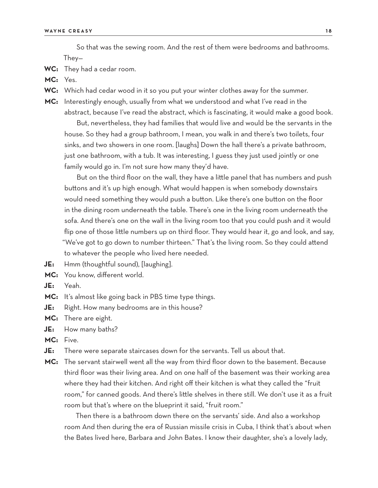So that was the sewing room. And the rest of them were bedrooms and bathrooms. They—

**WC:** They had a cedar room.

**MC:** Yes.

- **WC:** Which had cedar wood in it so you put your winter clothes away for the summer.
- **MC:** Interestingly enough, usually from what we understood and what I've read in the abstract, because I've read the abstract, which is fascinating, it would make a good book.

But, nevertheless, they had families that would live and would be the servants in the house. So they had a group bathroom, I mean, you walk in and there's two toilets, four sinks, and two showers in one room. [laughs] Down the hall there's a private bathroom, just one bathroom, with a tub. It was interesting, I guess they just used jointly or one family would go in. I'm not sure how many they'd have.

But on the third floor on the wall, they have a little panel that has numbers and push buttons and it's up high enough. What would happen is when somebody downstairs would need something they would push a button. Like there's one button on the floor in the dining room underneath the table. There's one in the living room underneath the sofa. And there's one on the wall in the living room too that you could push and it would flip one of those little numbers up on third floor. They would hear it, go and look, and say, "We've got to go down to number thirteen." That's the living room. So they could attend to whatever the people who lived here needed.

- **JE:** Hmm (thoughtful sound), [laughing].
- **MC:** You know, different world.
- **JE:** Yeah.
- **MC:** It's almost like going back in PBS time type things.
- **JE:** Right. How many bedrooms are in this house?
- **MC:** There are eight.
- **JE:** How many baths?
- **MC:** Five.
- **JE:** There were separate staircases down for the servants. Tell us about that.
- **MC:** The servant stairwell went all the way from third floor down to the basement. Because third floor was their living area. And on one half of the basement was their working area where they had their kitchen. And right off their kitchen is what they called the "fruit room," for canned goods. And there's little shelves in there still. We don't use it as a fruit room but that's where on the blueprint it said, "fruit room."

Then there is a bathroom down there on the servants' side. And also a workshop room And then during the era of Russian missile crisis in Cuba, I think that's about when the Bates lived here, Barbara and John Bates. I know their daughter, she's a lovely lady,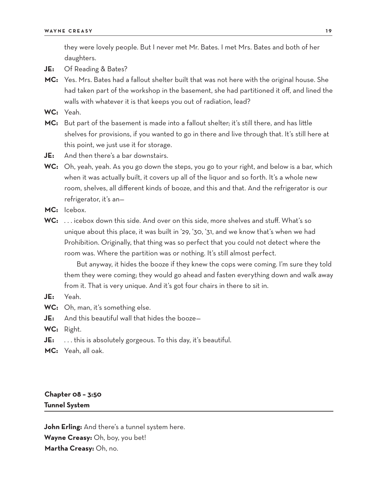they were lovely people. But I never met Mr. Bates. I met Mrs. Bates and both of her daughters.

- **JE:** Of Reading & Bates?
- **MC:** Yes. Mrs. Bates had a fallout shelter built that was not here with the original house. She had taken part of the workshop in the basement, she had partitioned it off, and lined the walls with whatever it is that keeps you out of radiation, lead?
- **WC:** Yeah.
- **MC:** But part of the basement is made into a fallout shelter; it's still there, and has little shelves for provisions, if you wanted to go in there and live through that. It's still here at this point, we just use it for storage.
- **JE:** And then there's a bar downstairs.
- **WC:** Oh, yeah, yeah. As you go down the steps, you go to your right, and below is a bar, which when it was actually built, it covers up all of the liquor and so forth. It's a whole new room, shelves, all different kinds of booze, and this and that. And the refrigerator is our refrigerator, it's an—
- **MC:** Icebox.
- **WC:** . . . icebox down this side. And over on this side, more shelves and stuff. What's so unique about this place, it was built in '29, '30, '31, and we know that's when we had Prohibition. Originally, that thing was so perfect that you could not detect where the room was. Where the partition was or nothing. It's still almost perfect.

But anyway, it hides the booze if they knew the cops were coming. I'm sure they told them they were coming; they would go ahead and fasten everything down and walk away from it. That is very unique. And it's got four chairs in there to sit in.

- **JE:** Yeah.
- **WC:** Oh, man, it's something else.
- **JE:** And this beautiful wall that hides the booze—
- **WC:** Right.
- **JE:** . . . this is absolutely gorgeous. To this day, it's beautiful.
- **MC:** Yeah, all oak.

# **Chapter 08 – 3:50 Tunnel System**

**John Erling:** And there's a tunnel system here. **Wayne Creasy:** Oh, boy, you bet! **Martha Creasy:** Oh, no.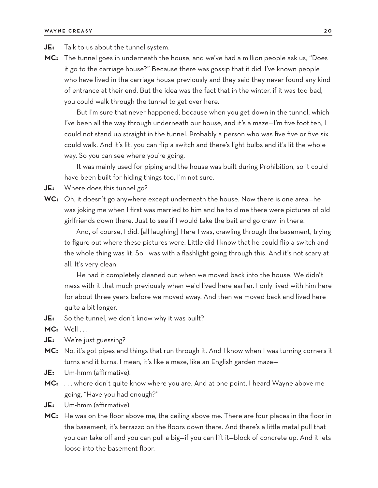- **JE:** Talk to us about the tunnel system.
- **MC:** The tunnel goes in underneath the house, and we've had a million people ask us, "Does it go to the carriage house?" Because there was gossip that it did. I've known people who have lived in the carriage house previously and they said they never found any kind of entrance at their end. But the idea was the fact that in the winter, if it was too bad, you could walk through the tunnel to get over here.

But I'm sure that never happened, because when you get down in the tunnel, which I've been all the way through underneath our house, and it's a maze—I'm five foot ten, I could not stand up straight in the tunnel. Probably a person who was five five or five six could walk. And it's lit; you can flip a switch and there's light bulbs and it's lit the whole way. So you can see where you're going.

It was mainly used for piping and the house was built during Prohibition, so it could have been built for hiding things too, I'm not sure.

**JE:** Where does this tunnel go?

**WC:** Oh, it doesn't go anywhere except underneath the house. Now there is one area—he was joking me when I first was married to him and he told me there were pictures of old girlfriends down there. Just to see if I would take the bait and go crawl in there.

And, of course, I did. [all laughing] Here I was, crawling through the basement, trying to figure out where these pictures were. Little did I know that he could flip a switch and the whole thing was lit. So I was with a flashlight going through this. And it's not scary at all. It's very clean.

He had it completely cleaned out when we moved back into the house. We didn't mess with it that much previously when we'd lived here earlier. I only lived with him here for about three years before we moved away. And then we moved back and lived here quite a bit longer.

- **JE:** So the tunnel, we don't know why it was built?
- **MC:** Well...
- **JE:** We're just guessing?
- **MC:** No, it's got pipes and things that run through it. And I know when I was turning corners it turns and it turns. I mean, it's like a maze, like an English garden maze—
- **JE:** Um-hmm (affirmative).
- **MC:** . . . where don't quite know where you are. And at one point, I heard Wayne above me going, "Have you had enough?"
- **JE:** Um-hmm (affirmative).
- **MC:** He was on the floor above me, the ceiling above me. There are four places in the floor in the basement, it's terrazzo on the floors down there. And there's a little metal pull that you can take off and you can pull a big—if you can lift it—block of concrete up. And it lets loose into the basement floor.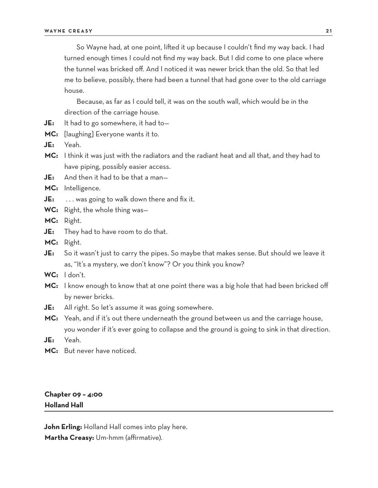So Wayne had, at one point, lifted it up because I couldn't find my way back. I had turned enough times I could not find my way back. But I did come to one place where the tunnel was bricked off. And I noticed it was newer brick than the old. So that led me to believe, possibly, there had been a tunnel that had gone over to the old carriage house.

Because, as far as I could tell, it was on the south wall, which would be in the direction of the carriage house.

- **JE:** It had to go somewhere, it had to—
- **MC:** [laughing] Everyone wants it to.
- **JE:** Yeah.
- **MC:** I think it was just with the radiators and the radiant heat and all that, and they had to have piping, possibly easier access.
- **JE:** And then it had to be that a man—

**MC:** Intelligence.

- **JE:** ... was going to walk down there and fix it.
- **WC:** Right, the whole thing was—
- **MC:** Right.
- **JE:** They had to have room to do that.
- **MC:** Right.
- **JE:** So it wasn't just to carry the pipes. So maybe that makes sense. But should we leave it as, "It's a mystery, we don't know"? Or you think you know?
- **WC:** I don't.
- **MC:** I know enough to know that at one point there was a big hole that had been bricked off by newer bricks.
- **JE:** All right. So let's assume it was going somewhere.
- **MC:** Yeah, and if it's out there underneath the ground between us and the carriage house, you wonder if it's ever going to collapse and the ground is going to sink in that direction.
- **JE:** Yeah.
- **MC:** But never have noticed.

## **Chapter 09 – 4:00 Holland Hall**

**John Erling:** Holland Hall comes into play here. **Martha Creasy:** Um-hmm (affirmative).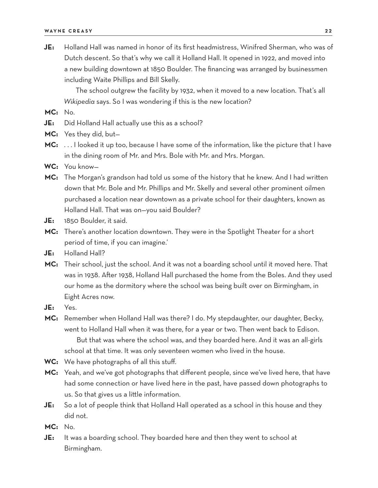**JE:** Holland Hall was named in honor of its first headmistress, Winifred Sherman, who was of Dutch descent. So that's why we call it Holland Hall. It opened in 1922, and moved into a new building downtown at 1850 Boulder. The financing was arranged by businessmen including Waite Phillips and Bill Skelly.

The school outgrew the facility by 1932, when it moved to a new location. That's all *Wikipedia* says. So I was wondering if this is the new location?

**MC:** No.

- **JE:** Did Holland Hall actually use this as a school?
- **MC:** Yes they did, but—
- **MC:** . . . I looked it up too, because I have some of the information, like the picture that I have in the dining room of Mr. and Mrs. Bole with Mr. and Mrs. Morgan.
- **WC:** You know—
- **MC:** The Morgan's grandson had told us some of the history that he knew. And I had written down that Mr. Bole and Mr. Phillips and Mr. Skelly and several other prominent oilmen purchased a location near downtown as a private school for their daughters, known as Holland Hall. That was on—you said Boulder?
- **JE:** 1850 Boulder, it said.
- **MC:** There's another location downtown. They were in the Spotlight Theater for a short period of time, if you can imagine.'
- **JE:** Holland Hall?
- **MC:** Their school, just the school. And it was not a boarding school until it moved here. That was in 1938. After 1938, Holland Hall purchased the home from the Boles. And they used our home as the dormitory where the school was being built over on Birmingham, in Eight Acres now.
- **JE:** Yes.
- **MC:** Remember when Holland Hall was there? I do. My stepdaughter, our daughter, Becky, went to Holland Hall when it was there, for a year or two. Then went back to Edison. But that was where the school was, and they boarded here. And it was an all-girls school at that time. It was only seventeen women who lived in the house.
- **WC:** We have photographs of all this stuff.
- **MC:** Yeah, and we've got photographs that different people, since we've lived here, that have had some connection or have lived here in the past, have passed down photographs to us. So that gives us a little information.
- **JE:** So a lot of people think that Holland Hall operated as a school in this house and they did not.

**MC:** No.

**JE:** It was a boarding school. They boarded here and then they went to school at Birmingham.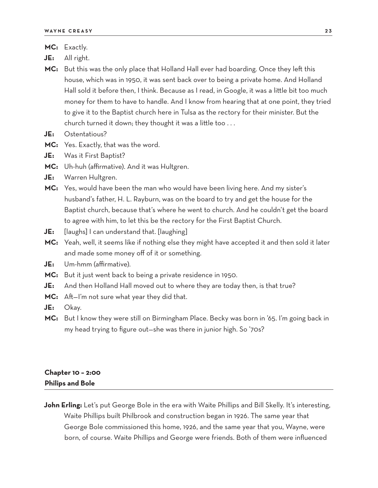- **JE:** All right.
- **MC:** But this was the only place that Holland Hall ever had boarding. Once they left this house, which was in 1950, it was sent back over to being a private home. And Holland Hall sold it before then, I think. Because as I read, in Google, it was a little bit too much money for them to have to handle. And I know from hearing that at one point, they tried to give it to the Baptist church here in Tulsa as the rectory for their minister. But the church turned it down; they thought it was a little too . . .
- **JE:** Ostentatious?
- **MC:** Yes. Exactly, that was the word.
- **JE:** Was it First Baptist?
- **MC:** Uh-huh (affirmative). And it was Hultgren.
- **JE:** Warren Hultgren.
- **MC:** Yes, would have been the man who would have been living here. And my sister's husband's father, H. L. Rayburn, was on the board to try and get the house for the Baptist church, because that's where he went to church. And he couldn't get the board to agree with him, to let this be the rectory for the First Baptist Church.
- **JE:** [laughs] I can understand that. [laughing]
- **MC:** Yeah, well, it seems like if nothing else they might have accepted it and then sold it later and made some money off of it or something.
- **JE:** Um-hmm (affirmative).
- **MC:** But it just went back to being a private residence in 1950.
- **JE:** And then Holland Hall moved out to where they are today then, is that true?
- **MC:** Aft—I'm not sure what year they did that.
- **JE:** Okay.
- **MC:** But I know they were still on Birmingham Place. Becky was born in '65. I'm going back in my head trying to figure out—she was there in junior high. So '70s?

# **Chapter 10 – 2:00 Philips and Bole**

**John Erling:** Let's put George Bole in the era with Waite Phillips and Bill Skelly. It's interesting, Waite Phillips built Philbrook and construction began in 1926. The same year that George Bole commissioned this home, 1926, and the same year that you, Wayne, were born, of course. Waite Phillips and George were friends. Both of them were influenced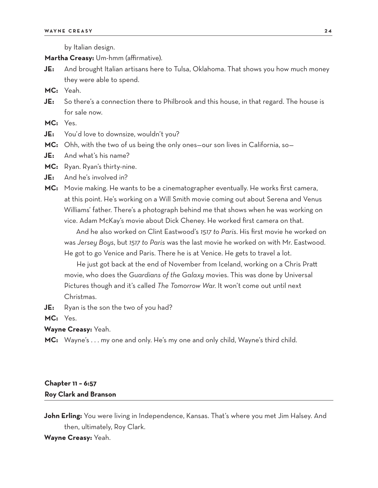by Italian design.

**Martha Creasy:** Um-hmm (affirmative).

- **JE:** And brought Italian artisans here to Tulsa, Oklahoma. That shows you how much money they were able to spend.
- **MC:** Yeah.
- **JE:** So there's a connection there to Philbrook and this house, in that regard. The house is for sale now.

**MC:** Yes.

- **JE:** You'd love to downsize, wouldn't you?
- **MC:** Ohh, with the two of us being the only ones—our son lives in California, so—
- **JE:** And what's his name?

**MC:** Ryan. Ryan's thirty-nine.

- **JE:** And he's involved in?
- **MC:** Movie making. He wants to be a cinematographer eventually. He works first camera, at this point. He's working on a Will Smith movie coming out about Serena and Venus Williams' father. There's a photograph behind me that shows when he was working on vice. Adam McKay's movie about Dick Cheney. He worked first camera on that.

And he also worked on Clint Eastwood's *1517 to Paris*. His first movie he worked on was *Jersey Boys*, but *1517 to Paris* was the last movie he worked on with Mr. Eastwood. He got to go Venice and Paris. There he is at Venice. He gets to travel a lot.

He just got back at the end of November from Iceland, working on a Chris Pratt movie, who does the *Guardians of the Galaxy* movies. This was done by Universal Pictures though and it's called *The Tomorrow War*. It won't come out until next Christmas.

**JE:** Ryan is the son the two of you had?

**MC:** Yes.

**Wayne Creasy:** Yeah.

**MC:** Wayne's . . . my one and only. He's my one and only child, Wayne's third child.

## **Chapter 11 – 6:57 Roy Clark and Branson**

**John Erling:** You were living in Independence, Kansas. That's where you met Jim Halsey. And then, ultimately, Roy Clark.

#### **Wayne Creasy:** Yeah.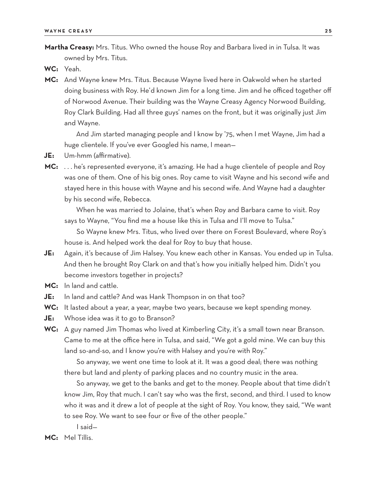**Martha Creasy:** Mrs. Titus. Who owned the house Roy and Barbara lived in in Tulsa. It was owned by Mrs. Titus.

**WC:** Yeah.

**MC:** And Wayne knew Mrs. Titus. Because Wayne lived here in Oakwold when he started doing business with Roy. He'd known Jim for a long time. Jim and he officed together off of Norwood Avenue. Their building was the Wayne Creasy Agency Norwood Building, Roy Clark Building. Had all three guys' names on the front, but it was originally just Jim and Wayne.

And Jim started managing people and I know by '75, when I met Wayne, Jim had a huge clientele. If you've ever Googled his name, I mean—

- **JE:** Um-hmm (affirmative).
- **MC:** . . . he's represented everyone, it's amazing. He had a huge clientele of people and Roy was one of them. One of his big ones. Roy came to visit Wayne and his second wife and stayed here in this house with Wayne and his second wife. And Wayne had a daughter by his second wife, Rebecca.

When he was married to Jolaine, that's when Roy and Barbara came to visit. Roy says to Wayne, "You find me a house like this in Tulsa and I'll move to Tulsa."

So Wayne knew Mrs. Titus, who lived over there on Forest Boulevard, where Roy's house is. And helped work the deal for Roy to buy that house.

- **JE:** Again, it's because of Jim Halsey. You knew each other in Kansas. You ended up in Tulsa. And then he brought Roy Clark on and that's how you initially helped him. Didn't you become investors together in projects?
- **MC:** In land and cattle.
- **JE:** In land and cattle? And was Hank Thompson in on that too?
- **WC:** It lasted about a year, a year, maybe two years, because we kept spending money.
- **JE:** Whose idea was it to go to Branson?
- **WC:** A guy named Jim Thomas who lived at Kimberling City, it's a small town near Branson. Came to me at the office here in Tulsa, and said, "We got a gold mine. We can buy this land so-and-so, and I know you're with Halsey and you're with Roy."

So anyway, we went one time to look at it. It was a good deal; there was nothing there but land and plenty of parking places and no country music in the area.

So anyway, we get to the banks and get to the money. People about that time didn't know Jim, Roy that much. I can't say who was the first, second, and third. I used to know who it was and it drew a lot of people at the sight of Roy. You know, they said, "We want to see Roy. We want to see four or five of the other people."

I said—

**MC:** Mel Tillis.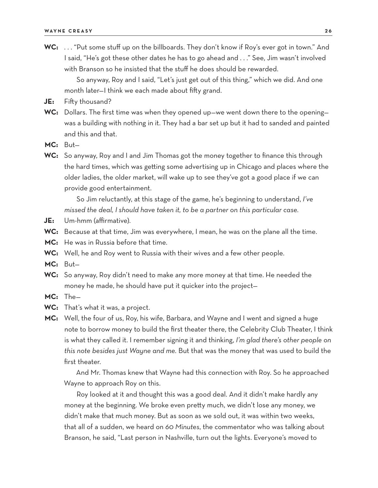**WC:** . . . "Put some stuff up on the billboards. They don't know if Roy's ever got in town." And I said, "He's got these other dates he has to go ahead and . . ." See, Jim wasn't involved with Branson so he insisted that the stuff he does should be rewarded.

So anyway, Roy and I said, "Let's just get out of this thing," which we did. And one month later—I think we each made about fifty grand.

- **JE:** Fifty thousand?
- **WC:** Dollars. The first time was when they opened up—we went down there to the opening was a building with nothing in it. They had a bar set up but it had to sanded and painted and this and that.
- **MC:** But—
- **WC:** So anyway, Roy and I and Jim Thomas got the money together to finance this through the hard times, which was getting some advertising up in Chicago and places where the older ladies, the older market, will wake up to see they've got a good place if we can provide good entertainment.

So Jim reluctantly, at this stage of the game, he's beginning to understand, *I've missed the deal, I should have taken it, to be a partner on this particular case.*

- **JE:** Um-hmm (affirmative).
- **WC:** Because at that time, Jim was everywhere, I mean, he was on the plane all the time.
- **MC:** He was in Russia before that time.
- **WC:** Well, he and Roy went to Russia with their wives and a few other people.
- **MC:** But—
- **WC:** So anyway, Roy didn't need to make any more money at that time. He needed the money he made, he should have put it quicker into the project—
- **MC:** The—
- **WC:** That's what it was, a project.
- **MC:** Well, the four of us, Roy, his wife, Barbara, and Wayne and I went and signed a huge note to borrow money to build the first theater there, the Celebrity Club Theater, I think is what they called it. I remember signing it and thinking, *I'm glad there's other people on this note besides just Wayne and me.* But that was the money that was used to build the first theater.

And Mr. Thomas knew that Wayne had this connection with Roy. So he approached Wayne to approach Roy on this.

Roy looked at it and thought this was a good deal. And it didn't make hardly any money at the beginning. We broke even pretty much, we didn't lose any money, we didn't make that much money. But as soon as we sold out, it was within two weeks, that all of a sudden, we heard on *60 Minutes*, the commentator who was talking about Branson, he said, "Last person in Nashville, turn out the lights. Everyone's moved to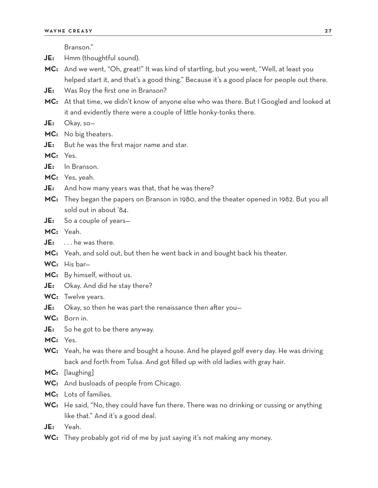Branson."

**JE:** Hmm (thoughtful sound).

- **MC:** And we went, "Oh, great!" It was kind of startling, but you went, "Well, at least you helped start it, and that's a good thing." Because it's a good place for people out there.
- **JE:** Was Roy the first one in Branson?
- **MC:** At that time, we didn't know of anyone else who was there. But I Googled and looked at it and evidently there were a couple of little honky-tonks there.
- **JE:** Okay, so—
- **MC:** No big theaters.
- **JE:** But *he* was the first major name and star.
- **MC:** Yes.
- **JE:** In Branson.
- **MC:** Yes, yeah.
- **JE:** And how many years was that, that he was there?
- **MC:** They began the papers on Branson in 1980, and the theater opened in 1982. But you all sold out in about '84.
- **JE:** So a couple of years—
- **MC:** Yeah.
- **JE:** . . . he was there.
- **MC:** Yeah, and sold out, but then he went back in and bought back his theater.
- **WC:** His bar—
- **MC:** By himself, without us.
- **JE:** Okay. And did he stay there?
- **WC:** Twelve years.
- **JE:** Okay, so then he was part the renaissance then after you—
- **WC:** Born in.
- **JE:** So he got to be there anyway.
- **MC:** Yes.
- **WC:** Yeah, he was there and bought a house. And he played golf every day. He was driving back and forth from Tulsa. And got filled up with old ladies with gray hair.
- **MC:** [laughing]
- **WC:** And busloads of people from Chicago.
- **MC:** Lots of families.
- **WC:** He said, "No, they could have fun there. There was no drinking or cussing or anything like that." And it's a good deal.
- **JE:** Yeah.
- WC: They probably got rid of me by just saying it's not making any money.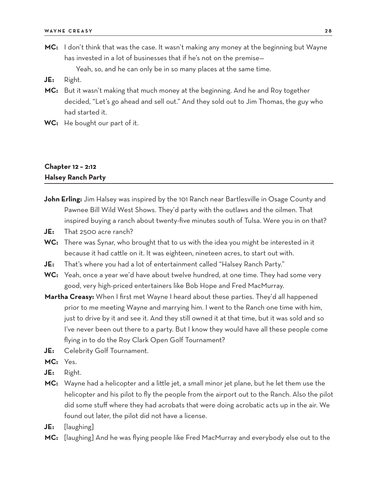**MC:** I don't think that was the case. It wasn't making any money at the beginning but Wayne has invested in a lot of businesses that if he's not on the premise—

Yeah, so, and he can only be in so many places at the same time.

- **JE:** Right.
- **MC:** But it wasn't making that much money at the beginning. And he and Roy together decided, "Let's go ahead and sell out." And they sold out to Jim Thomas, the guy who had started it.
- **WC:** He bought our part of it.

## **Chapter 12 – 2:12 Halsey Ranch Party**

- **John Erling:** Jim Halsey was inspired by the 101 Ranch near Bartlesville in Osage County and Pawnee Bill Wild West Shows. They'd party with the outlaws and the oilmen. That inspired buying a ranch about twenty-five minutes south of Tulsa. Were you in on that?
- **JE:** That 2500 acre ranch?
- **WC:** There was Synar, who brought that to us with the idea you might be interested in it because it had cattle on it. It was eighteen, nineteen acres, to start out with.
- **JE:** That's where you had a lot of entertainment called "Halsey Ranch Party."
- **WC:** Yeah, once a year we'd have about twelve hundred, at one time. They had some very good, very high-priced entertainers like Bob Hope and Fred MacMurray.
- **Martha Creasy:** When I first met Wayne I heard about these parties. They'd all happened prior to me meeting Wayne and marrying him. I went to the Ranch one time with him, just to drive by it and see it. And they still owned it at that time, but it was sold and so I've never been out there to a party. But I know they would have all these people come flying in to do the Roy Clark Open Golf Tournament?
- **JE:** Celebrity Golf Tournament.
- **MC:** Yes.
- **JE:** Right.
- **MC:** Wayne had a helicopter and a little jet, a small minor jet plane, but he let them use the helicopter and his pilot to fly the people from the airport out to the Ranch. Also the pilot did some stuff where they had acrobats that were doing acrobatic acts up in the air. We found out later, the pilot did not have a license.
- **JE:** [laughing]
- **MC:** [laughing] And he was flying people like Fred MacMurray and everybody else out to the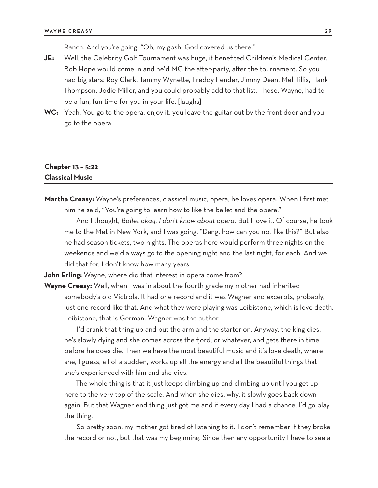Ranch. And you're going, "Oh, my gosh. God covered us there."

- **JE:** Well, the Celebrity Golf Tournament was huge, it benefited Children's Medical Center. Bob Hope would come in and he'd MC the after-party, after the tournament. So you had big stars: Roy Clark, Tammy Wynette, Freddy Fender, Jimmy Dean, Mel Tillis, Hank Thompson, Jodie Miller, and you could probably add to that list. Those, Wayne, had to be a fun, fun time for you in your life. [laughs]
- **WC:** Yeah. You go to the opera, enjoy it, you leave the guitar out by the front door and you go to the opera.

## **Chapter 13 – 5:22 Classical Music**

**Martha Creasy:** Wayne's preferences, classical music, opera, he loves opera. When I first met him he said, "You're going to learn how to like the ballet and the opera."

And I thought, *Ballet okay, I don't know about opera.* But I love it. Of course, he took me to the Met in New York, and I was going, "Dang, how can you not like this?" But also he had season tickets, two nights. The operas here would perform three nights on the weekends and we'd always go to the opening night and the last night, for each. And we did that for, I don't know how many years.

**John Erling:** Wayne, where did that interest in opera come from?

**Wayne Creasy:** Well, when I was in about the fourth grade my mother had inherited somebody's old Victrola. It had one record and it was Wagner and excerpts, probably, just one record like that. And what they were playing was Leibistone, which is love death. Leibistone, that is German. Wagner was the author.

I'd crank that thing up and put the arm and the starter on. Anyway, the king dies, he's slowly dying and she comes across the fjord, or whatever, and gets there in time before he does die. Then we have the most beautiful music and it's love death, where she, I guess, all of a sudden, works up all the energy and all the beautiful things that she's experienced with him and she dies.

The whole thing is that it just keeps climbing up and climbing up until you get up here to the very top of the scale. And when she dies, why, it slowly goes back down again. But that Wagner end thing just got me and if every day I had a chance, I'd go play the thing.

So pretty soon, my mother got tired of listening to it. I don't remember if they broke the record or not, but that was my beginning. Since then any opportunity I have to see a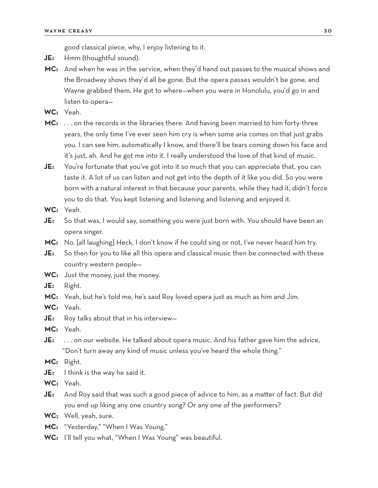good classical piece, why, I enjoy listening to it.

- **JE:** Hmm (thoughtful sound).
- **MC:** And when he was in the service, when they'd hand out passes to the musical shows and the Broadway shows they'd all be gone. But the opera passes wouldn't be gone, and Wayne grabbed them. He got to where—when you were in Honolulu, you'd go in and listen to opera—

**WC:** Yeah.

- **MC:** . . . on the records in the libraries there. And having been married to him forty-three years, the only time I've ever seen him cry is when some aria comes on that just grabs you. I can see him, automatically I know, and there'll be tears coming down his face and it's just, ah. And he got me into it. I really understood the love of that kind of music.
- **JE:** You're fortunate that you've got into it so much that you can appreciate that, you can taste it. A lot of us can listen and not get into the depth of it like you did. So you were born with a natural interest in that because your parents, while they had it, didn't force you to do that. You kept listening and listening and listening and enjoyed it.
- **WC:** Yeah.
- **JE:** So that was, I would say, something you were just born with. You should have been an opera singer.
- **MC:** No. [all laughing] Heck, I don't know if he could sing or not, I've never heard him try.
- **JE:** So then for you to like all this opera and classical music then be connected with these country western people—
- **WC:** Just the money, just the money.
- **JE:** Right.
- **MC:** Yeah, but he's told me, he's said Roy loved opera just as much as him and Jim.
- **WC:** Yeah.
- **JE:** Roy talks about that in his interview—
- **MC:** Yeah.
- **JE:** . . . on our website. He talked about opera music. And his father gave him the advice, "Don't turn away any kind of music unless you've heard the whole thing."
- **MC:** Right.
- **JE:** I think is the way he said it.
- **WC:** Yeah.
- **JE:** And Roy said that was such a good piece of advice to him, as a matter of fact. But did you end up liking any one country song? Or any one of the performers?
- **WC:** Well, yeah, sure.
- **MC:** "Yesterday," "When I Was Young."
- **WC:** I'll tell you what, "When I Was Young" was beautiful.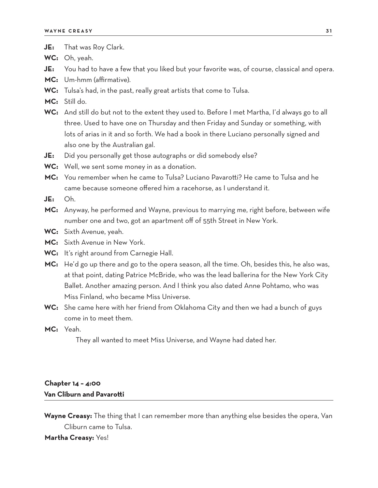- **JE:** That was Roy Clark.
- **WC:** Oh, yeah.
- **JE:** You had to have a few that you liked but your favorite was, of course, classical and opera.
- **MC:** Um-hmm (affirmative).
- **WC:** Tulsa's had, in the past, really great artists that come to Tulsa.
- **MC:** Still do.
- **WC:** And still do but not to the extent they used to. Before I met Martha, I'd always go to all three. Used to have one on Thursday and then Friday and Sunday or something, with lots of arias in it and so forth. We had a book in there Luciano personally signed and also one by the Australian gal.
- **JE:** Did you personally get those autographs or did somebody else?
- **WC:** Well, we sent some money in as a donation.
- **MC:** You remember when he came to Tulsa? Luciano Pavarotti? He came to Tulsa and he came because someone offered him a racehorse, as I understand it.
- **JE:** Oh.
- **MC:** Anyway, he performed and Wayne, previous to marrying me, right before, between wife number one and two, got an apartment off of 55th Street in New York.
- **WC:** Sixth Avenue, yeah.
- **MC:** Sixth Avenue in New York.
- **WC:** It's right around from Carnegie Hall.
- **MC:** He'd go up there and go to the opera season, all the time. Oh, besides this, he also was, at that point, dating Patrice McBride, who was the lead ballerina for the New York City Ballet. Another amazing person. And I think you also dated Anne Pohtamo, who was Miss Finland, who became Miss Universe.
- **WC:** She came here with her friend from Oklahoma City and then we had a bunch of guys come in to meet them.
- **MC:** Yeah.

They all wanted to meet Miss Universe, and Wayne had dated her.

## **Chapter 14 – 4:00 Van Cliburn and Pavarotti**

**Wayne Creasy:** The thing that I can remember more than anything else besides the opera, Van Cliburn came to Tulsa.

#### **Martha Creasy:** Yes!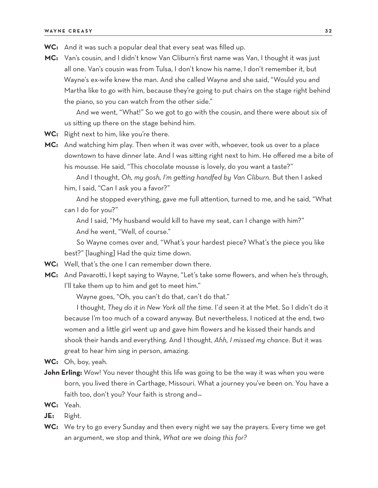- **WC:** And it was such a popular deal that every seat was filled up.
- **MC:** Van's cousin, and I didn't know Van Cliburn's first name was Van, I thought it was just all one. Van's cousin was from Tulsa, I don't know his name, I don't remember it, but Wayne's ex-wife knew the man. And she called Wayne and she said, "Would you and Martha like to go with him, because they're going to put chairs on the stage right behind the piano, so you can watch from the other side."

And we went, "What!" So we got to go with the cousin, and there were about six of us sitting up there on the stage behind him.

**WC:** Right next to him, like you're there.

**MC:** And watching him play. Then when it was over with, whoever, took us over to a place downtown to have dinner late. And I was sitting right next to him. He offered me a bite of his mousse. He said, "This chocolate mousse is lovely, do you want a taste?"

And I thought, *Oh, my gosh, I'm getting handfed by Van Cliburn.* But then I asked him, I said, "Can I ask you a favor?"

And he stopped everything, gave me full attention, turned to me, and he said, "What can I do for you?"

And I said, "My husband would kill to have my seat, can I change with him?" And he went, "Well, of course."

So Wayne comes over and, "What's your hardest piece? What's the piece you like best?" [laughing] Had the quiz time down.

- **WC:** Well, that's the one I can remember down there.
- **MC:** And Pavarotti, I kept saying to Wayne, "Let's take some flowers, and when he's through, I'll take them up to him and get to meet him."

Wayne goes, "Oh, you can't do that, can't do that."

I thought, *They do it in New York all the time.* I'd seen it at the Met. So I didn't do it because I'm too much of a coward anyway. But nevertheless, I noticed at the end, two women and a little girl went up and gave him flowers and he kissed their hands and shook their hands and everything. And I thought, *Ahh, I missed my chance.* But it was great to hear him sing in person, amazing.

**WC:** Oh, boy, yeah.

- **John Erling:** Wow! You never thought this life was going to be the way it was when you were born, you lived there in Carthage, Missouri. What a journey you've been on. You have a faith too, don't you? Your faith is strong and—
- **WC:** Yeah.
- **JE:** Right.
- **WC:** We try to go every Sunday and then every night we say the prayers. Every time we get an argument, we stop and think, *What are we doing this for?*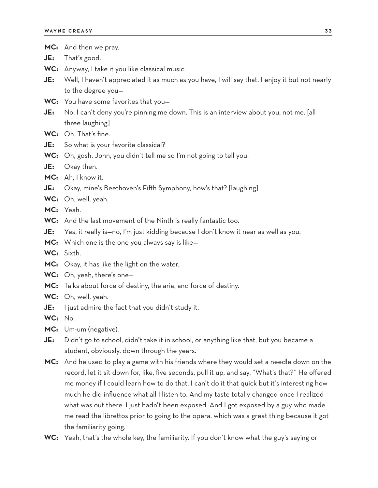|         | MC: And then we pray.                                                                           |
|---------|-------------------------------------------------------------------------------------------------|
| JE:     | That's good.                                                                                    |
|         | WC: Anyway, I take it you like classical music.                                                 |
| JE:     | Well, I haven't appreciated it as much as you have, I will say that. I enjoy it but not nearly  |
|         | to the degree you-                                                                              |
|         | WC: You have some favorites that you-                                                           |
| JE:     | No, I can't deny you're pinning me down. This is an interview about you, not me. [all           |
|         | three laughing]                                                                                 |
|         | WC: Oh. That's fine.                                                                            |
| JE:     | So what is your favorite classical?                                                             |
|         | WC: Oh, gosh, John, you didn't tell me so I'm not going to tell you.                            |
| JE:     | Okay then.                                                                                      |
|         | MC: Ah, I know it.                                                                              |
| JE:     | Okay, mine's Beethoven's Fifth Symphony, how's that? [laughing]                                 |
|         | WC: Oh, well, yeah.                                                                             |
|         | MC: Yeah.                                                                                       |
|         | WC: And the last movement of the Ninth is really fantastic too.                                 |
| JE:     | Yes, it really is-no, I'm just kidding because I don't know it near as well as you.             |
|         | <b>MC:</b> Which one is the one you always say is like-                                         |
|         | WC: Sixth.                                                                                      |
|         | MC: Okay, it has like the light on the water.                                                   |
|         | WC: Oh, yeah, there's one-                                                                      |
|         | MC: Talks about force of destiny, the aria, and force of destiny.                               |
|         | WC: Oh, well, yeah.                                                                             |
| JE:     | I just admire the fact that you didn't study it.                                                |
| WC: No. |                                                                                                 |
| MC:     | Um-um (negative).                                                                               |
| JE:     | Didn't go to school, didn't take it in school, or anything like that, but you became a          |
|         | student, obviously, down through the years.                                                     |
| MC:     | And he used to play a game with his friends where they would set a needle down on the           |
|         | record, let it sit down for, like, five seconds, pull it up, and say, "What's that?" He offered |
|         | me money if I could learn how to do that. I can't do it that quick but it's interesting how     |
|         | much he did influence what all I listen to. And my taste totally changed once I realized        |
|         | what was out there. I just hadn't been exposed. And I got exposed by a guy who made             |
|         | me read the librettos prior to going to the opera, which was a great thing because it got       |

- the familiarity going.
- WC: Yeah, that's the whole key, the familiarity. If you don't know what the guy's saying or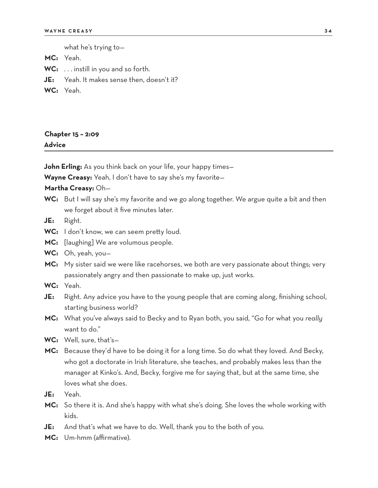what he's trying to—

**MC:** Yeah.

**WC:** . . . instill in you and so forth.

- **JE:** Yeah. It makes sense then, doesn't it?
- **WC:** Yeah.

# **Chapter 15 – 2:09 Advice**

**John Erling:** As you think back on your life, your happy times—

**Wayne Creasy:** Yeah, I don't have to say she's my favorite—

#### **Martha Creasy:** Oh—

- **WC:** But I will say she's my favorite and we go along together. We argue quite a bit and then we forget about it five minutes later.
- **JE:** Right.
- **WC:** I don't know, we can seem pretty loud.
- **MC:** [laughing] We are volumous people.
- **WC:** Oh, yeah, you—
- **MC:** My sister said we were like racehorses, we both are very passionate about things; very passionately angry and then passionate to make up, just works.
- **WC:** Yeah.
- **JE:** Right. Any advice you have to the young people that are coming along, finishing school, starting business world?
- **MC:** What you've always said to Becky and to Ryan both, you said, "Go for what you *really* want to do."
- **WC:** Well, sure, that's—
- **MC:** Because they'd have to be doing it for a long time. So do what they loved. And Becky, who got a doctorate in Irish literature, she teaches, and probably makes less than the manager at Kinko's. And, Becky, forgive me for saying that, but at the same time, she loves what she does.
- **JE:** Yeah.
- **MC:** So there it is. And she's happy with what she's doing. She loves the whole working with kids.
- **JE:** And that's what we have to do. Well, thank you to the both of you.
- **MC:** Um-hmm (affirmative).